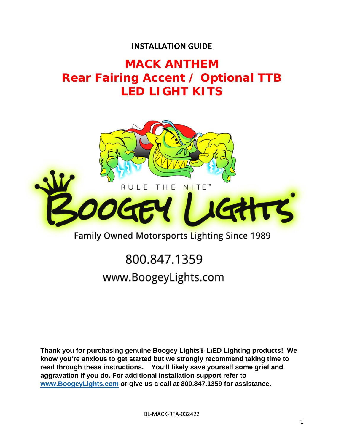### **INSTALLATION GUIDE**

## **MACK ANTHEM Rear Fairing Accent / Optional TTB LED LIGHT KITS**



### Family Owned Motorsports Lighting Since 1989

# 800.847.1359 www.BoogeyLights.com

**Thank you for purchasing genuine Boogey Lights® L\ED Lighting products! We know you're anxious to get started but we strongly recommend taking time to read through these instructions. You'll likely save yourself some grief and aggravation if you do. For additional installation support refer to www.BoogeyLights.com or give us a call at 800.847.1359 for assistance.**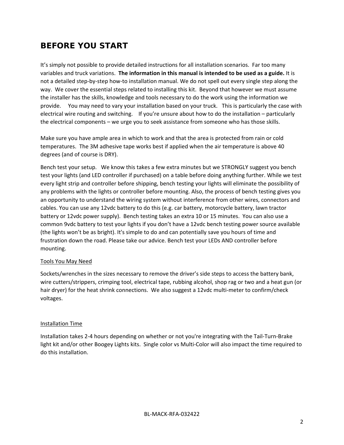### **BEFORE YOU START**

It's simply not possible to provide detailed instructions for all installation scenarios. Far too many variables and truck variations. **The information in this manual is intended to be used as a guide.** It is not a detailed step‐by‐step how‐to installation manual. We do not spell out every single step along the way. We cover the essential steps related to installing this kit. Beyond that however we must assume the installer has the skills, knowledge and tools necessary to do the work using the information we provide. You may need to vary your installation based on your truck. This is particularly the case with electrical wire routing and switching. If you're unsure about how to do the installation – particularly the electrical components – we urge you to seek assistance from someone who has those skills.

Make sure you have ample area in which to work and that the area is protected from rain or cold temperatures. The 3M adhesive tape works best if applied when the air temperature is above 40 degrees (and of course is DRY).

Bench test your setup. We know this takes a few extra minutes but we STRONGLY suggest you bench test your lights (and LED controller if purchased) on a table before doing anything further. While we test every light strip and controller before shipping, bench testing your lights will eliminate the possibility of any problems with the lights or controller before mounting. Also, the process of bench testing gives you an opportunity to understand the wiring system without interference from other wires, connectors and cables. You can use any 12vdc battery to do this (e.g. car battery, motorcycle battery, lawn tractor battery or 12vdc power supply). Bench testing takes an extra 10 or 15 minutes. You can also use a common 9vdc battery to test your lights if you don't have a 12vdc bench testing power source available (the lights won't be as bright). It's simple to do and can potentially save you hours of time and frustration down the road. Please take our advice. Bench test your LEDs AND controller before mounting.

#### Tools You May Need

Sockets/wrenches in the sizes necessary to remove the driver's side steps to access the battery bank, wire cutters/strippers, crimping tool, electrical tape, rubbing alcohol, shop rag or two and a heat gun (or hair dryer) for the heat shrink connections. We also suggest a 12vdc multi-meter to confirm/check voltages.

#### Installation Time

Installation takes 2‐4 hours depending on whether or not you're integrating with the Tail‐Turn‐Brake light kit and/or other Boogey Lights kits. Single color vs Multi‐Color will also impact the time required to do this installation.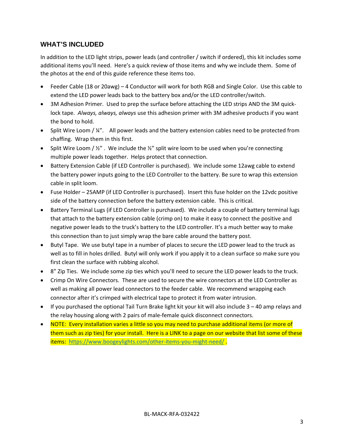#### **WHAT'S INCLUDED**

In addition to the LED light strips, power leads (and controller / switch if ordered), this kit includes some additional items you'll need. Here's a quick review of those items and why we include them. Some of the photos at the end of this guide reference these items too.

- Feeder Cable (18 or 20awg) 4 Conductor will work for both RGB and Single Color. Use this cable to extend the LED power leads back to the battery box and/or the LED controller/switch.
- 3M Adhesion Primer. Used to prep the surface before attaching the LED strips AND the 3M quicklock tape. *Always, always, always* use this adhesion primer with 3M adhesive products if you want the bond to hold.
- $\bullet$  Split Wire Loom /  $\frac{1}{4}$ ". All power leads and the battery extension cables need to be protected from chaffing. Wrap them in this first.
- Split Wire Loom /  $\frac{1}{2}$ ". We include the  $\frac{1}{2}$ " split wire loom to be used when you're connecting multiple power leads together. Helps protect that connection.
- Battery Extension Cable (if LED Controller is purchased). We include some 12awg cable to extend the battery power inputs going to the LED Controller to the battery. Be sure to wrap this extension cable in split loom.
- Fuse Holder 25AMP (if LED Controller is purchased). Insert this fuse holder on the 12vdc positive side of the battery connection before the battery extension cable. This is critical.
- Battery Terminal Lugs (if LED Controller is purchased). We include a couple of battery terminal lugs that attach to the battery extension cable (crimp on) to make it easy to connect the positive and negative power leads to the truck's battery to the LED controller. It's a much better way to make this connection than to just simply wrap the bare cable around the battery post.
- Butyl Tape. We use butyl tape in a number of places to secure the LED power lead to the truck as well as to fill in holes drilled. Butyl will only work if you apply it to a clean surface so make sure you first clean the surface with rubbing alcohol.
- 8" Zip Ties. We include some zip ties which you'll need to secure the LED power leads to the truck.
- Crimp On Wire Connectors. These are used to secure the wire connectors at the LED Controller as well as making all power lead connectors to the feeder cable. We recommend wrapping each connector after it's crimped with electrical tape to protect it from water intrusion.
- $\bullet$  If you purchased the optional Tail Turn Brake light kit your kit will also include 3 40 amp relays and the relay housing along with 2 pairs of male‐female quick disconnect connectors.
- NOTE: Every installation varies a little so you may need to purchase additional items (or more of them such as zip ties) for your install. Here is a LINK to a page on our website that list some of these items: https://www.boogeylights.com/other-items-you-might-need/.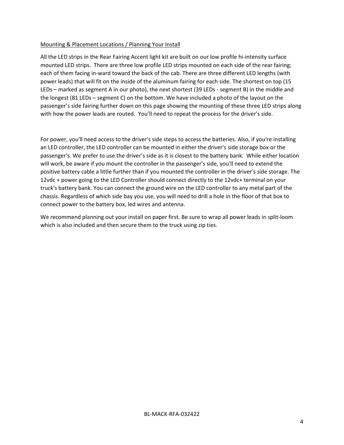#### Mounting & Placement Locations / Planning Your Install

All the LED strips in the Rear Fairing Accent light kit are built on our low profile hi‐intensity surface mounted LED strips. There are three low profile LED strips mounted on each side of the rear fairing; each of them facing in-ward toward the back of the cab. There are three different LED lengths (with power leads) that will fit on the inside of the aluminum fairing for each side. The shortest on top (15 LEDs – marked as segment A in our photo), the next shortest (39 LEDs - segment B) in the middle and the longest (81 LEDs – segment C) on the bottom. We have included a photo of the layout on the passenger's side fairing further down on this page showing the mounting of these three LED strips along with how the power leads are routed. You'll need to repeat the process for the driver's side.

For power, you'll need access to the driver's side steps to access the batteries. Also, if you're installing an LED controller, the LED controller can be mounted in either the driver's side storage box or the passenger's. We prefer to use the driver's side as it is closest to the battery bank. While either location will work, be aware if you mount the controller in the passenger's side, you'll need to extend the positive battery cable a little further than if you mounted the controller in the driver's side storage. The 12vdc + power going to the LED Controller should connect directly to the 12vdc+ terminal on your truck's battery bank. You can connect the ground wire on the LED controller to any metal part of the chassis. Regardless of which side bay you use, you will need to drill a hole in the floor of that box to connect power to the battery box, led wires and antenna.

We recommend planning out your install on paper first. Be sure to wrap all power leads in split-loom which is also included and then secure them to the truck using zip ties.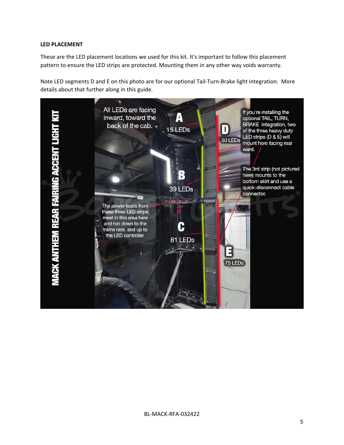#### **LED PLACEMENT**

These are the LED placement locations we used for this kit. It's important to follow this placement pattern to ensure the LED strips are protected. Mounting them in any other way voids warranty.

Note LED segments D and E on this photo are for our optional Tail‐Turn‐Brake light integration. More details about that further along in this guide.

All LEDs are facing If you're installing the inward, toward the A optional TAIL, TURN, **BRAKE** integration, two MACK ANTHEM REAR FAIRING ACCENT LIGHT back of the cab. . 15 LEDs L of the three heavy duty LED strips (D & E) will 60 LEDs mount here facing rear ward. The 3rd strip (not pictured here) mounts to the bottom skirt and use a quick-disconnect cable 39 LEDs connector. 72 The power leads from these three LED strips meet in this area here and run down to the C frame rails and up to the LED controller. 81 LEDs 75 LEDs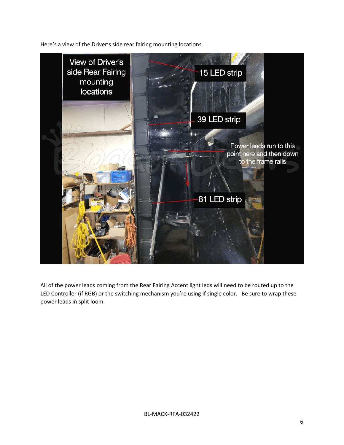Here's a view of the Driver's side rear fairing mounting locations.



All of the power leads coming from the Rear Fairing Accent light leds will need to be routed up to the LED Controller (if RGB) or the switching mechanism you're using if single color. Be sure to wrap these power leads in split loom.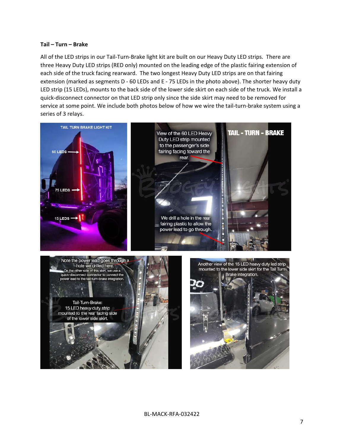#### **Tail – Turn – Brake**

All of the LED strips in our Tail‐Turn‐Brake light kit are built on our Heavy Duty LED strips. There are three Heavy Duty LED strips (RED only) mounted on the leading edge of the plastic fairing extension of each side of the truck facing rearward. The two longest Heavy Duty LED strips are on that fairing extension (marked as segments D - 60 LEDs and E - 75 LEDs in the photo above). The shorter heavy duty LED strip (15 LEDs), mounts to the back side of the lower side skirt on each side of the truck. We install a quick‐disconnect connector on that LED strip only since the side skirt may need to be removed for service at some point. We include both photos below of how we wire the tail-turn-brake system using a series of 3 relays.

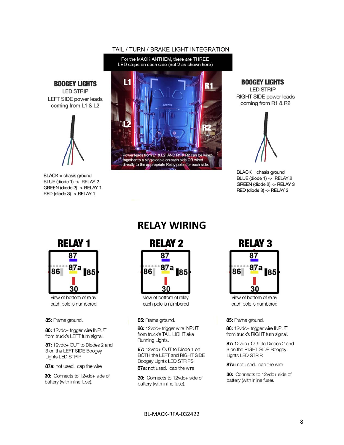#### TAIL / TURN / BRAKE LIGHT INTEGRATION



**BOOGEY LIGHTS** 

**LED STRIP** RIGHT SIDE power leads coming from R1 & R2



 $BLACK =$  chasis ground BLUE (diode 1) -> RELAY 2 GREEN (diode 2) -> RELAY 3 RED (diode 3) -> RELAY 3

**BOOGEY LIGHTS** 

**LED STRIP** 

**LEFT SIDE power leads** 

coming from L1 & L2

 $BLACK =$  chasis ground

BLUE (diode 1) -> RELAY 2

GREEN (diode 2) -> RELAY 1

RED (diode 3) -> RELAY 1

view of bottom of relay each pole is numbered

85: Frame ground.

86: 12vdc+ trigger wire INPUT from truck's LEFT turn signal.

87: 12vdc+ OUT to Diodes 2 and 3 on the LEFT SIDE Boogey Lights LED STRIP.

87a: not used. cap the wire

30: Connects to 12vdc+ side of battery (with inline fuse).

### **RELAY WIRING**



view of bottom of relay each pole is numbered

#### 85: Frame ground.

86: 12vdc+ trigger wire INPUT from truck's TAIL LIGHT aka Running Lights.

87: 12vdc+ OUT to Diode 1 on BOTH the LEFT and RIGHT SIDE **Boogey Lights LED STRIPS** 87a: not used. cap the wire

30: Connects to 12vdc+ side of battery (with inline fuse).

### **RELAY 3**



view of bottom of relay each pole is numbered

85: Frame ground.

86: 12vdc+ trigger wire INPUT from truck's RIGHT turn signal.

87: 12vdc+ OUT to Diodes 2 and 3 on the RIGHT SIDE Boogey Lights LED STRIP.

87a: not used. cap the wire

30: Connects to 12vdc+ side of battery (with inline fuse).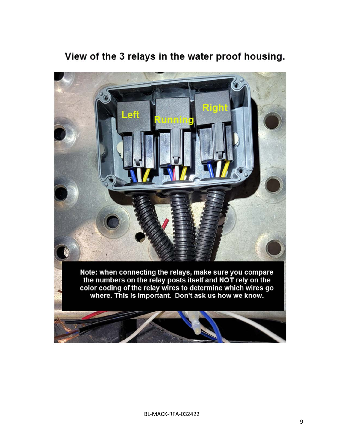### View of the 3 relays in the water proof housing.

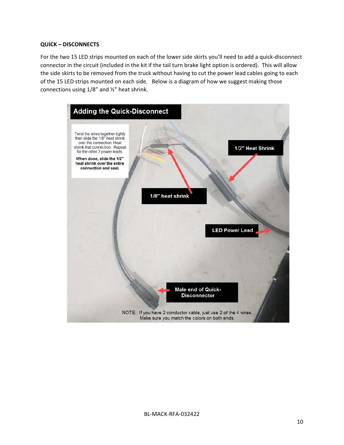#### **QUICK – DISCONNECTS**

For the two 15 LED strips mounted on each of the lower side skirts you'll need to add a quick‐disconnect connector in the circuit (included in the kit if the tail turn brake light option is ordered). This will allow the side skirts to be removed from the truck without having to cut the power lead cables going to each of the 15 LED strips mounted on each side. Below is a diagram of how we suggest making those connections using 1/8" and ½" heat shrink.